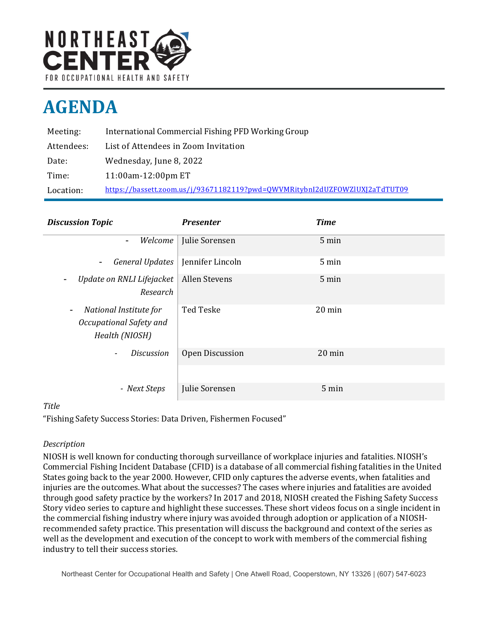

# **AGENDA**

| Meeting:   | International Commercial Fishing PFD Working Group                         |
|------------|----------------------------------------------------------------------------|
| Attendees: | List of Attendees in Zoom Invitation                                       |
| Date:      | Wednesday, June 8, 2022                                                    |
| Time:      | 11:00am-12:00pm ET                                                         |
| Location:  | https://bassett.zoom.us/j/93671182119?pwd=0WVMRitybnI2dUZFOWZlUXJ2aTdTUT09 |

| <b>Discussion Topic</b>                                             | <b>Presenter</b> | <b>Time</b> |
|---------------------------------------------------------------------|------------------|-------------|
| Welcome<br>$\blacksquare$                                           | Julie Sorensen   | 5 min       |
| <b>General Updates</b><br>$\blacksquare$                            | Jennifer Lincoln | 5 min       |
| Update on RNLI Lifejacket<br>Research                               | Allen Stevens    | 5 min       |
| National Institute for<br>Occupational Safety and<br>Health (NIOSH) | Ted Teske        | 20 min      |
| <b>Discussion</b><br>$\overline{\phantom{a}}$                       | Open Discussion  | 20 min      |
|                                                                     |                  |             |
| - Next Steps                                                        | Julie Sorensen   | 5 min       |

# *Title*

"Fishing Safety Success Stories: Data Driven, Fishermen Focused"

# *Description*

NIOSH is well known for conducting thorough surveillance of workplace injuries and fatalities. NIOSH's Commercial Fishing Incident Database (CFID) is a database of all commercial fishing fatalities in the United States going back to the year 2000. However, CFID only captures the adverse events, when fatalities and injuries are the outcomes. What about the successes? The cases where injuries and fatalities are avoided through good safety practice by the workers? In 2017 and 2018, NIOSH created the Fishing Safety Success Story video series to capture and highlight these successes. These short videos focus on a single incident in the commercial fishing industry where injury was avoided through adoption or application of a NIOSHrecommended safety practice. This presentation will discuss the background and context of the series as well as the development and execution of the concept to work with members of the commercial fishing industry to tell their success stories.